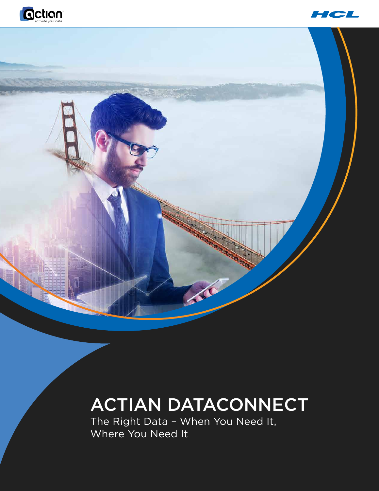



# Trac

# ACTIAN DATACONNECT

The Right Data – When You Need It, Where You Need It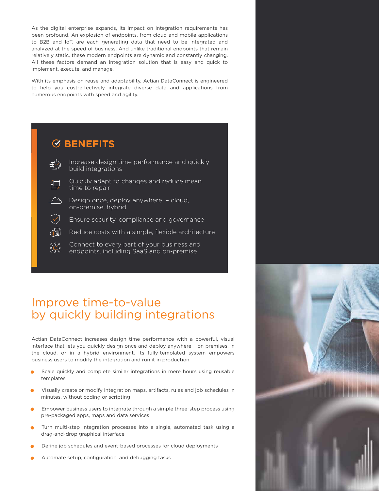As the digital enterprise expands, its impact on integration requirements has been profound. An explosion of endpoints, from cloud and mobile applications to B2B and IoT, are each generating data that need to be integrated and analyzed at the speed of business. And unlike traditional endpoints that remain relatively static, these modern endpoints are dynamic and constantly changing. All these factors demand an integration solution that is easy and quick to implement, execute, and manage.

With its emphasis on reuse and adaptability, Actian DataConnect is engineered to help you cost-effectively integrate diverse data and applications from numerous endpoints with speed and agility.



# Improve time-to-value by quickly building integrations

Actian DataConnect increases design time performance with a powerful, visual interface that lets you quickly design once and deploy anywhere – on premises, in the cloud, or in a hybrid environment. Its fully-templated system empowers business users to modify the integration and run it in production.

- Scale quickly and complete similar integrations in mere hours using reusable templates
- Visually create or modify integration maps, artifacts, rules and job schedules in minutes, without coding or scripting
- Empower business users to integrate through a simple three-step process using pre-packaged apps, maps and data services
- Turn multi-step integration processes into a single, automated task using a drag-and-drop graphical interface
- Define job schedules and event-based processes for cloud deployments
- Automate setup, configuration, and debugging tasks

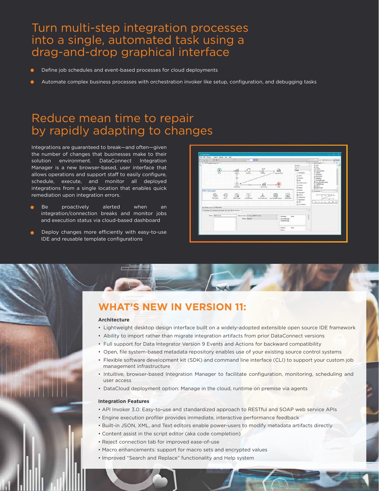# Turn multi-step integration processes into a single, automated task using a drag-and-drop graphical interface

- Define job schedules and event-based processes for cloud deployments
- Automate complex business processes with orchestration invoker like setup, configuration, and debugging tasks

# Reduce mean time to repair by rapidly adapting to changes

Integrations are guaranteed to break—and often—given the number of changes that businesses make to their solution environment. DataConnect Integration Manager is a new browser-based, user interface that allows operations and support staff to easily configure, schedule, execute, and monitor all deployed integrations from a single location that enables quick remediation upon integration errors.

- Be proactively alerted when an integration/connection breaks and monitor jobs and execution status via cloud-based dashboard
- Deploy changes more efficiently with easy-to-use IDE and reusable template configurations

| 1000<br><b>COMING</b><br>12 YCITE_appsalmog@unet 11        | 水河 RN → DEII<br>$\mathcal{Q}(\mathbf{w})$                                                                                                                  |                                                                                                                                                                                                                                                                                    | Databas   Il   Schedoned L. Form<br><sup>242</sup> CT  (-) Sea Fanigator 10                                                                                                                                                                                                                 |
|------------------------------------------------------------|------------------------------------------------------------------------------------------------------------------------------------------------------------|------------------------------------------------------------------------------------------------------------------------------------------------------------------------------------------------------------------------------------------------------------------------------------|---------------------------------------------------------------------------------------------------------------------------------------------------------------------------------------------------------------------------------------------------------------------------------------------|
| Other Step types<br>帍<br>to)<br><b>TIP</b> move<br>size.   | <b><i><u>SALADeta</u></i></b><br><b><i><u>Property</u></i></b><br>$\Sigma_{-}$<br>REITAHAM<br>Call Enforces<br><b>Ran SubAranasi</b><br>Ges: Moradhoxadura | <b>Tucklin</b><br>54<br><b>Falene</b><br>a Annexeron<br>Accountabilities<br>$2$ Suite<br>C Declare<br>ffi ka.<br>C handsmoking<br>A Prices<br><b>EL Gene</b><br>all heates<br><b>Chicagona</b><br><b>Gimmer</b><br>×<br>E heatoney<br>Validate 62<br>G Application<br>$Q \times 1$ | (ii) Start<br>à.<br>GO Box<br>off fulfille<br>all Assessments<br>E Getting<br><b>Distriction</b><br>all Document<br>C Hallette<br>J. Redalboxe<br>[3] fac Goedboundary<br>5 Cal Selleran<br>@ Hitle<br><b>GO Williams</b><br><br>A Dominal III<br>[[-monoplate_cons]/state 2<br>$-1$<br>天地华 |
| <b>Bay Kulder Canuse Configuration</b>                     |                                                                                                                                                            | UC free between                                                                                                                                                                                                                                                                    |                                                                                                                                                                                                                                                                                             |
| T Freeston T. Pethhano   Q Roude: C. Liga: (Q RETINARE T.) |                                                                                                                                                            |                                                                                                                                                                                                                                                                                    | $=$ $n$                                                                                                                                                                                                                                                                                     |
| Riema: I PESTonisher                                       | Select Incident - Incident X (REST Involved)<br>Abin Limits                                                                                                | <b>WAY</b><br>Parameter<br><b>Servidencer</b><br>Terpetrinciage                                                                                                                                                                                                                    | ۰<br>T<br>٠                                                                                                                                                                                                                                                                                 |
|                                                            |                                                                                                                                                            | <b>Inches</b><br><b>Property</b><br><b>Textiles</b>                                                                                                                                                                                                                                | u                                                                                                                                                                                                                                                                                           |

# **WHAT'S NEW IN VERSION 11:**

### **Architecture**

- Lightweight desktop design interface built on a widely-adopted extensible open source IDE framework
- Ability to import rather than migrate integration artifacts from prior DataConnect versions
- Full support for Data Integrator Version 9 Events and Actions for backward compatibility
- Open, file system-based metadata repository enables use of your existing source control systems
- Flexible software development kit (SDK) and command line interface (CLI) to support your custom job management infrastructure
- Intuitive, browser-based Integration Manager to facilitate configuration, monitoring, scheduling and user access
- DataCloud deployment option: Manage in the cloud, runtime on premise via agents

### **Integration Features**

- API Invoker 3.0: Easy-to-use and standardized approach to RESTful and SOAP web service APIs
- Engine execution profiler provides immediate, interactive performance feedback
- Built-in JSON, XML, and Text editors enable power-users to modify metadata artifacts directly
- Content assist in the script editor (aka code completion)
- Reject connection tab for improved ease-of-use
- Macro enhancements: support for macro sets and encrypted values
- Improved "Search and Replace" functionality and Help system